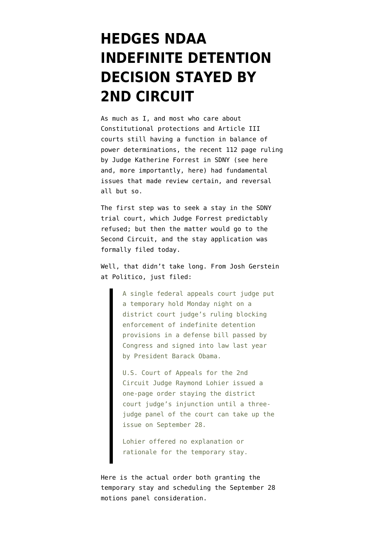## **[HEDGES NDAA](https://www.emptywheel.net/2012/09/17/ndaa-decision-stayed-by-2nd-circuit/) [INDEFINITE DETENTION](https://www.emptywheel.net/2012/09/17/ndaa-decision-stayed-by-2nd-circuit/) [DECISION STAYED BY](https://www.emptywheel.net/2012/09/17/ndaa-decision-stayed-by-2nd-circuit/) [2ND CIRCUIT](https://www.emptywheel.net/2012/09/17/ndaa-decision-stayed-by-2nd-circuit/)**

As much as I, and most who care about Constitutional protections and Article III courts still having a function in balance of power determinations, the recent 112 page ruling by Judge Katherine Forrest in SDNY (see [here](http://www.emptywheel.net/2012/09/13/chris-hedges-et-al-win-another-round-on-the-ndaa/) and, more importantly, [here](http://www.emptywheel.net/2012/09/13/doj-files-appeal-further-thoughts-on-hedges-and-the-lawfarewittes-analysis/)) had fundamental issues that made review certain, and reversal all but so.

The first step was to seek a stay in the SDNY trial court, which Judge Forrest predictably refused; but then the matter would go to the Second Circuit, and the [stay application was](http://www.emptywheel.net/wp-content/uploads/2012/09/hedges-motion-to-stay-2nd-circuit.pdf) [formally filed today](http://www.emptywheel.net/wp-content/uploads/2012/09/hedges-motion-to-stay-2nd-circuit.pdf).

Well, that didn't take long. From [Josh Gerstein](http://www.politico.com/blogs/under-the-radar/2012/09/appeals-court-unblocks-indefinite-detetnion-law-135815.html) [at Politico](http://www.politico.com/blogs/under-the-radar/2012/09/appeals-court-unblocks-indefinite-detetnion-law-135815.html), just filed:

> A single federal appeals court judge put a temporary hold Monday night on a district court judge's ruling blocking enforcement of indefinite detention provisions in a defense bill passed by Congress and signed into law last year by President Barack Obama.

> U.S. Court of Appeals for the 2nd Circuit Judge Raymond Lohier issued a one-page order staying the district court judge's injunction until a threejudge panel of the court can take up the issue on September 28.

Lohier offered no explanation or rationale for the temporary stay.

[Here is the actual order](http://www.emptywheel.net/wp-content/uploads/2012/09/ndaaca2tempord.pdf) both granting the temporary stay and scheduling the September 28 motions panel consideration.